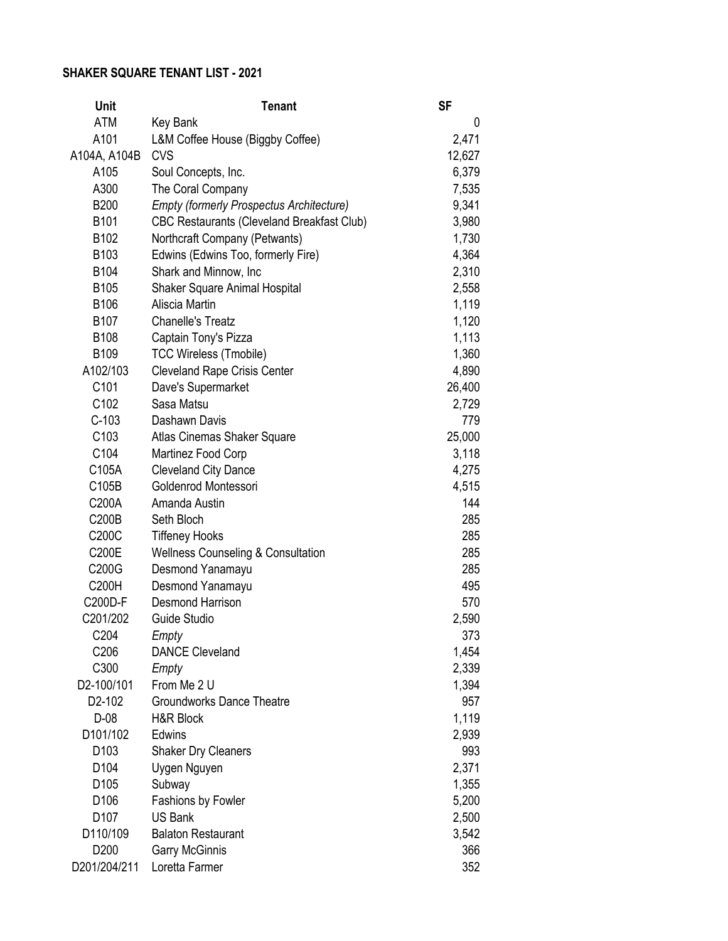## **SHAKER SQUARE TENANT LIST - 2021**

| <b>Unit</b>      | <b>Tenant</b>                                     | <b>SF</b> |
|------------------|---------------------------------------------------|-----------|
| <b>ATM</b>       | Key Bank                                          | 0         |
| A101             | L&M Coffee House (Biggby Coffee)                  | 2,471     |
| A104A, A104B     | <b>CVS</b>                                        | 12,627    |
| A105             | Soul Concepts, Inc.                               | 6,379     |
| A300             | The Coral Company                                 | 7,535     |
| <b>B200</b>      | <b>Empty (formerly Prospectus Architecture)</b>   | 9,341     |
| B <sub>101</sub> | <b>CBC Restaurants (Cleveland Breakfast Club)</b> | 3,980     |
| B102             | Northcraft Company (Petwants)                     | 1,730     |
| B103             | Edwins (Edwins Too, formerly Fire)                | 4,364     |
| B104             | Shark and Minnow, Inc                             | 2,310     |
| B105             | Shaker Square Animal Hospital                     | 2,558     |
| B106             | Aliscia Martin                                    | 1,119     |
| B107             | <b>Chanelle's Treatz</b>                          | 1,120     |
| B108             | Captain Tony's Pizza                              | 1,113     |
| B109             | <b>TCC Wireless (Tmobile)</b>                     | 1,360     |
| A102/103         | <b>Cleveland Rape Crisis Center</b>               | 4,890     |
| C <sub>101</sub> | Dave's Supermarket                                | 26,400    |
| C102             | Sasa Matsu                                        | 2,729     |
| $C-103$          | Dashawn Davis                                     | 779       |
| C103             | Atlas Cinemas Shaker Square                       | 25,000    |
| C104             | Martinez Food Corp                                | 3,118     |
| C105A            | <b>Cleveland City Dance</b>                       | 4,275     |
| C105B            | Goldenrod Montessori                              | 4,515     |
| C200A            | Amanda Austin                                     | 144       |
| C200B            | Seth Bloch                                        | 285       |
| C200C            | <b>Tiffeney Hooks</b>                             | 285       |
| C200E            | <b>Wellness Counseling &amp; Consultation</b>     | 285       |
| C200G            | Desmond Yanamayu                                  | 285       |
| C200H            | Desmond Yanamayu                                  | 495       |
| C200D-F          | <b>Desmond Harrison</b>                           | 570       |
| C201/202         | Guide Studio                                      | 2,590     |
| C <sub>204</sub> | Empty                                             | 373       |
| C206             | <b>DANCE Cleveland</b>                            | 1,454     |
| C300             | Empty                                             | 2,339     |
| D2-100/101       | From Me 2 U                                       | 1,394     |
| D2-102           | <b>Groundworks Dance Theatre</b>                  | 957       |
| $D-08$           | H&R Block                                         | 1,119     |
| D101/102         | Edwins                                            | 2,939     |
| D <sub>103</sub> | Shaker Dry Cleaners                               | 993       |
| D <sub>104</sub> | Uygen Nguyen                                      | 2,371     |
| D105             | Subway                                            | 1,355     |
| D106             | Fashions by Fowler                                | 5,200     |
| D <sub>107</sub> | <b>US Bank</b>                                    | 2,500     |
| D110/109         | <b>Balaton Restaurant</b>                         | 3,542     |
| D <sub>200</sub> | <b>Garry McGinnis</b>                             | 366       |
| D201/204/211     | Loretta Farmer                                    | 352       |